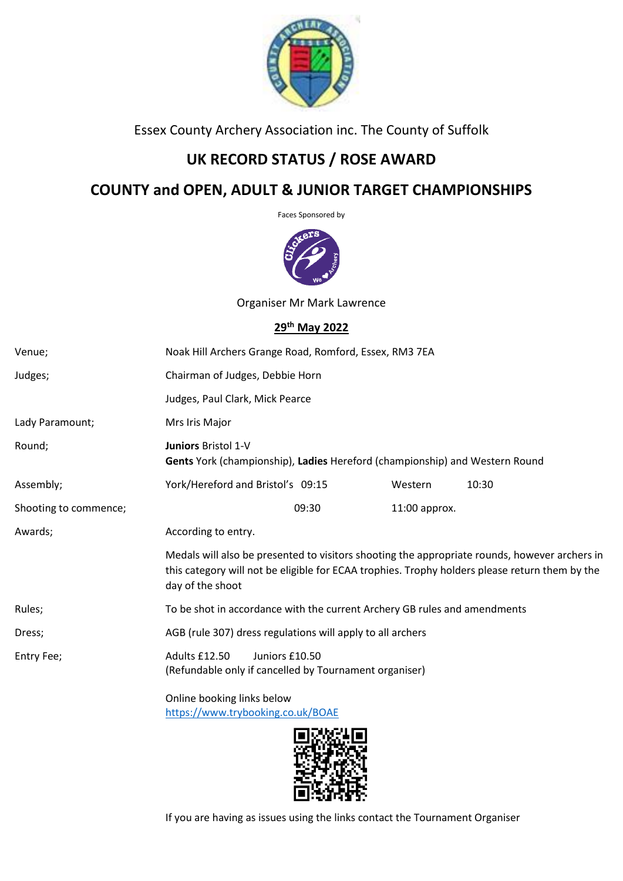

Essex County Archery Association inc. The County of Suffolk

# **UK RECORD STATUS / ROSE AWARD**

# **COUNTY and OPEN, ADULT & JUNIOR TARGET CHAMPIONSHIPS**

Faces Sponsored by



Organiser Mr Mark Lawrence

## **29th May 2022**

| Venue;                | Noak Hill Archers Grange Road, Romford, Essex, RM3 7EA                                                                                                                                                              |       |               |       |  |
|-----------------------|---------------------------------------------------------------------------------------------------------------------------------------------------------------------------------------------------------------------|-------|---------------|-------|--|
| Judges;               | Chairman of Judges, Debbie Horn                                                                                                                                                                                     |       |               |       |  |
|                       | Judges, Paul Clark, Mick Pearce                                                                                                                                                                                     |       |               |       |  |
| Lady Paramount;       | Mrs Iris Major                                                                                                                                                                                                      |       |               |       |  |
| Round;                | <b>Juniors Bristol 1-V</b><br>Gents York (championship), Ladies Hereford (championship) and Western Round                                                                                                           |       |               |       |  |
| Assembly;             | York/Hereford and Bristol's 09:15                                                                                                                                                                                   |       | Western       | 10:30 |  |
| Shooting to commence; |                                                                                                                                                                                                                     | 09:30 | 11:00 approx. |       |  |
| Awards;               | According to entry.                                                                                                                                                                                                 |       |               |       |  |
|                       | Medals will also be presented to visitors shooting the appropriate rounds, however archers in<br>this category will not be eligible for ECAA trophies. Trophy holders please return them by the<br>day of the shoot |       |               |       |  |
| Rules;                | To be shot in accordance with the current Archery GB rules and amendments                                                                                                                                           |       |               |       |  |
| Dress;                | AGB (rule 307) dress regulations will apply to all archers                                                                                                                                                          |       |               |       |  |
| Entry Fee;            | Adults £12.50<br>Juniors £10.50<br>(Refundable only if cancelled by Tournament organiser)                                                                                                                           |       |               |       |  |
|                       | Online booking links below<br>https://www.trybooking.co.uk/BOAE                                                                                                                                                     |       |               |       |  |



If you are having as issues using the links contact the Tournament Organiser